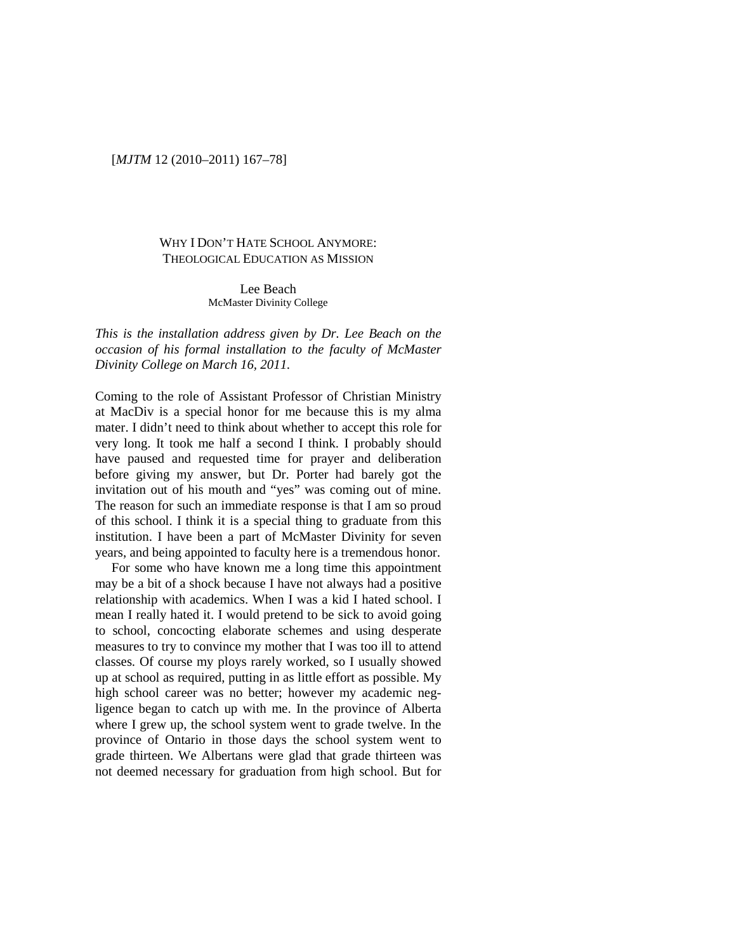## [*MJTM* 12 (2010–2011) 167–78]

# WHY I DON'T HATE SCHOOL ANYMORE: THEOLOGICAL EDUCATION AS MISSION

Lee Beach McMaster Divinity College

*This is the installation address given by Dr. Lee Beach on the occasion of his formal installation to the faculty of McMaster Divinity College on March 16, 2011.*

Coming to the role of Assistant Professor of Christian Ministry at MacDiv is a special honor for me because this is my alma mater. I didn't need to think about whether to accept this role for very long. It took me half a second I think. I probably should have paused and requested time for prayer and deliberation before giving my answer, but Dr. Porter had barely got the invitation out of his mouth and "yes" was coming out of mine. The reason for such an immediate response is that I am so proud of this school. I think it is a special thing to graduate from this institution. I have been a part of McMaster Divinity for seven years, and being appointed to faculty here is a tremendous honor.

For some who have known me a long time this appointment may be a bit of a shock because I have not always had a positive relationship with academics. When I was a kid I hated school. I mean I really hated it. I would pretend to be sick to avoid going to school, concocting elaborate schemes and using desperate measures to try to convince my mother that I was too ill to attend classes. Of course my ploys rarely worked, so I usually showed up at school as required, putting in as little effort as possible. My high school career was no better; however my academic negligence began to catch up with me. In the province of Alberta where I grew up, the school system went to grade twelve. In the province of Ontario in those days the school system went to grade thirteen. We Albertans were glad that grade thirteen was not deemed necessary for graduation from high school. But for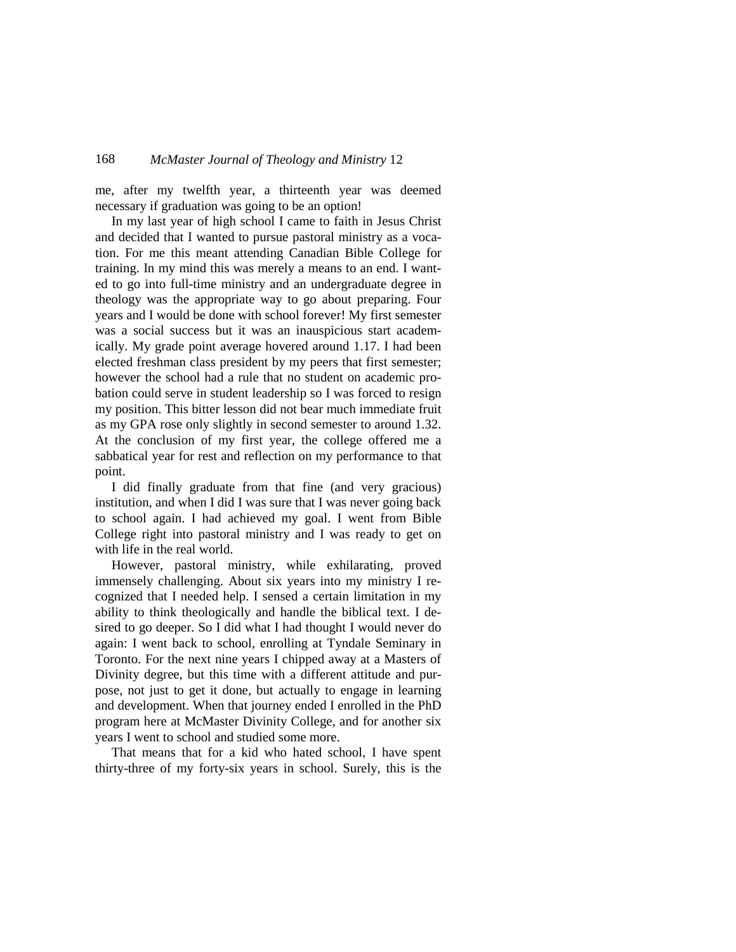me, after my twelfth year, a thirteenth year was deemed necessary if graduation was going to be an option!

In my last year of high school I came to faith in Jesus Christ and decided that I wanted to pursue pastoral ministry as a vocation. For me this meant attending Canadian Bible College for training. In my mind this was merely a means to an end. I wanted to go into full-time ministry and an undergraduate degree in theology was the appropriate way to go about preparing. Four years and I would be done with school forever! My first semester was a social success but it was an inauspicious start academically. My grade point average hovered around 1.17. I had been elected freshman class president by my peers that first semester; however the school had a rule that no student on academic probation could serve in student leadership so I was forced to resign my position. This bitter lesson did not bear much immediate fruit as my GPA rose only slightly in second semester to around 1.32. At the conclusion of my first year, the college offered me a sabbatical year for rest and reflection on my performance to that point.

I did finally graduate from that fine (and very gracious) institution, and when I did I was sure that I was never going back to school again. I had achieved my goal. I went from Bible College right into pastoral ministry and I was ready to get on with life in the real world.

However, pastoral ministry, while exhilarating, proved immensely challenging. About six years into my ministry I recognized that I needed help. I sensed a certain limitation in my ability to think theologically and handle the biblical text. I desired to go deeper. So I did what I had thought I would never do again: I went back to school, enrolling at Tyndale Seminary in Toronto. For the next nine years I chipped away at a Masters of Divinity degree, but this time with a different attitude and purpose, not just to get it done, but actually to engage in learning and development. When that journey ended I enrolled in the PhD program here at McMaster Divinity College, and for another six years I went to school and studied some more.

That means that for a kid who hated school, I have spent thirty-three of my forty-six years in school. Surely, this is the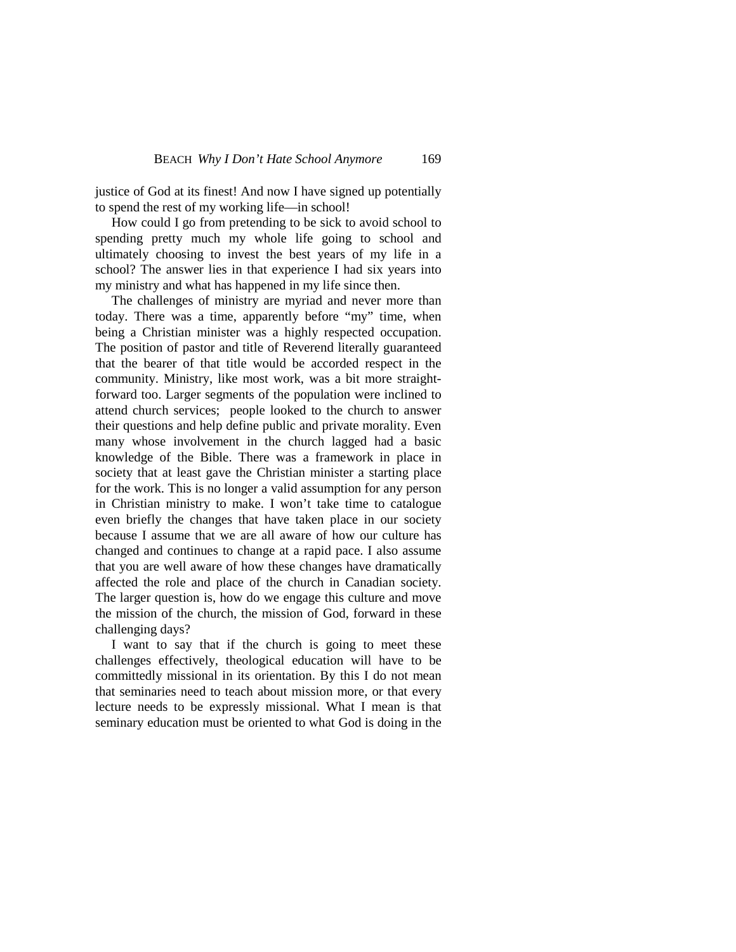justice of God at its finest! And now I have signed up potentially to spend the rest of my working life—in school!

How could I go from pretending to be sick to avoid school to spending pretty much my whole life going to school and ultimately choosing to invest the best years of my life in a school? The answer lies in that experience I had six years into my ministry and what has happened in my life since then.

The challenges of ministry are myriad and never more than today. There was a time, apparently before "my" time, when being a Christian minister was a highly respected occupation. The position of pastor and title of Reverend literally guaranteed that the bearer of that title would be accorded respect in the community. Ministry, like most work, was a bit more straightforward too. Larger segments of the population were inclined to attend church services; people looked to the church to answer their questions and help define public and private morality. Even many whose involvement in the church lagged had a basic knowledge of the Bible. There was a framework in place in society that at least gave the Christian minister a starting place for the work. This is no longer a valid assumption for any person in Christian ministry to make. I won't take time to catalogue even briefly the changes that have taken place in our society because I assume that we are all aware of how our culture has changed and continues to change at a rapid pace. I also assume that you are well aware of how these changes have dramatically affected the role and place of the church in Canadian society. The larger question is, how do we engage this culture and move the mission of the church, the mission of God, forward in these challenging days?

I want to say that if the church is going to meet these challenges effectively, theological education will have to be committedly missional in its orientation. By this I do not mean that seminaries need to teach about mission more, or that every lecture needs to be expressly missional. What I mean is that seminary education must be oriented to what God is doing in the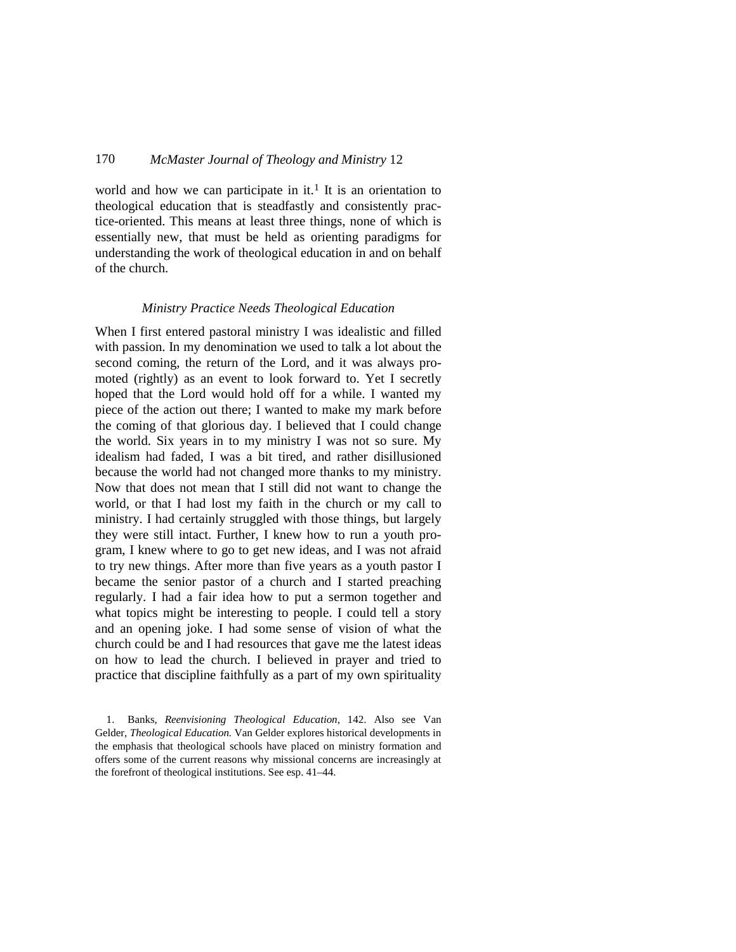world and how we can participate in it.<sup>[1](#page-3-0)</sup> It is an orientation to theological education that is steadfastly and consistently practice-oriented. This means at least three things, none of which is essentially new, that must be held as orienting paradigms for understanding the work of theological education in and on behalf of the church.

#### *Ministry Practice Needs Theological Education*

When I first entered pastoral ministry I was idealistic and filled with passion. In my denomination we used to talk a lot about the second coming, the return of the Lord, and it was always promoted (rightly) as an event to look forward to. Yet I secretly hoped that the Lord would hold off for a while. I wanted my piece of the action out there; I wanted to make my mark before the coming of that glorious day. I believed that I could change the world. Six years in to my ministry I was not so sure. My idealism had faded, I was a bit tired, and rather disillusioned because the world had not changed more thanks to my ministry. Now that does not mean that I still did not want to change the world, or that I had lost my faith in the church or my call to ministry. I had certainly struggled with those things, but largely they were still intact. Further, I knew how to run a youth program, I knew where to go to get new ideas, and I was not afraid to try new things. After more than five years as a youth pastor I became the senior pastor of a church and I started preaching regularly. I had a fair idea how to put a sermon together and what topics might be interesting to people. I could tell a story and an opening joke. I had some sense of vision of what the church could be and I had resources that gave me the latest ideas on how to lead the church. I believed in prayer and tried to practice that discipline faithfully as a part of my own spirituality

<span id="page-3-0"></span><sup>1.</sup> Banks, *Reenvisioning Theological Education*, 142. Also see Van Gelder, *Theological Education.* Van Gelder explores historical developments in the emphasis that theological schools have placed on ministry formation and offers some of the current reasons why missional concerns are increasingly at the forefront of theological institutions. See esp. 41–44.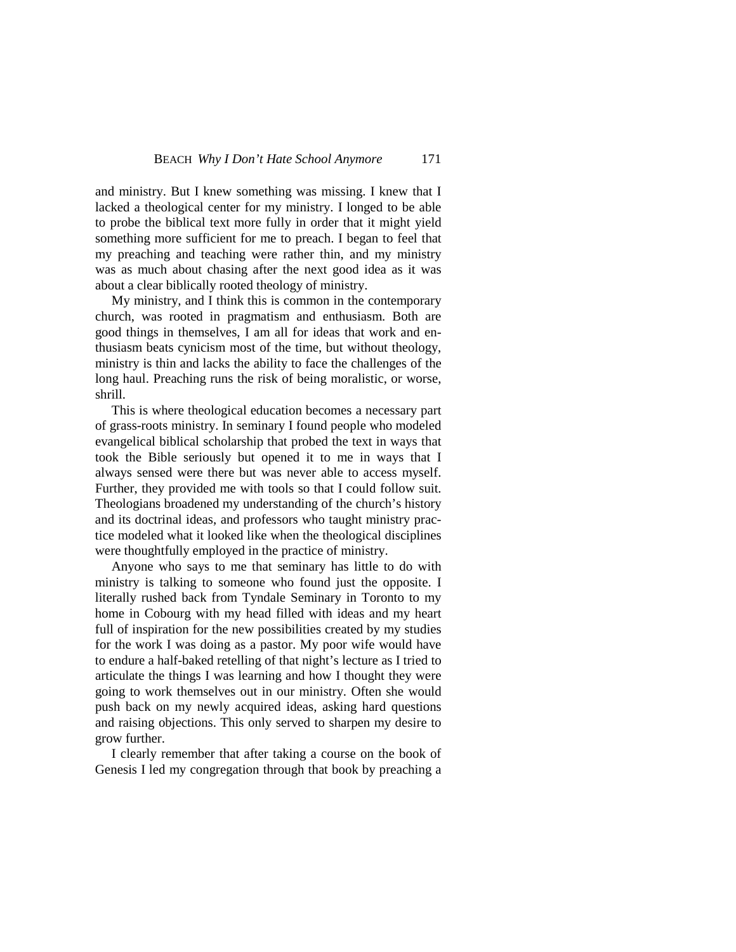and ministry. But I knew something was missing. I knew that I lacked a theological center for my ministry. I longed to be able to probe the biblical text more fully in order that it might yield something more sufficient for me to preach. I began to feel that my preaching and teaching were rather thin, and my ministry was as much about chasing after the next good idea as it was about a clear biblically rooted theology of ministry.

My ministry, and I think this is common in the contemporary church, was rooted in pragmatism and enthusiasm. Both are good things in themselves, I am all for ideas that work and enthusiasm beats cynicism most of the time, but without theology, ministry is thin and lacks the ability to face the challenges of the long haul. Preaching runs the risk of being moralistic, or worse, shrill.

This is where theological education becomes a necessary part of grass-roots ministry. In seminary I found people who modeled evangelical biblical scholarship that probed the text in ways that took the Bible seriously but opened it to me in ways that I always sensed were there but was never able to access myself. Further, they provided me with tools so that I could follow suit. Theologians broadened my understanding of the church's history and its doctrinal ideas, and professors who taught ministry practice modeled what it looked like when the theological disciplines were thoughtfully employed in the practice of ministry.

Anyone who says to me that seminary has little to do with ministry is talking to someone who found just the opposite. I literally rushed back from Tyndale Seminary in Toronto to my home in Cobourg with my head filled with ideas and my heart full of inspiration for the new possibilities created by my studies for the work I was doing as a pastor. My poor wife would have to endure a half-baked retelling of that night's lecture as I tried to articulate the things I was learning and how I thought they were going to work themselves out in our ministry. Often she would push back on my newly acquired ideas, asking hard questions and raising objections. This only served to sharpen my desire to grow further.

I clearly remember that after taking a course on the book of Genesis I led my congregation through that book by preaching a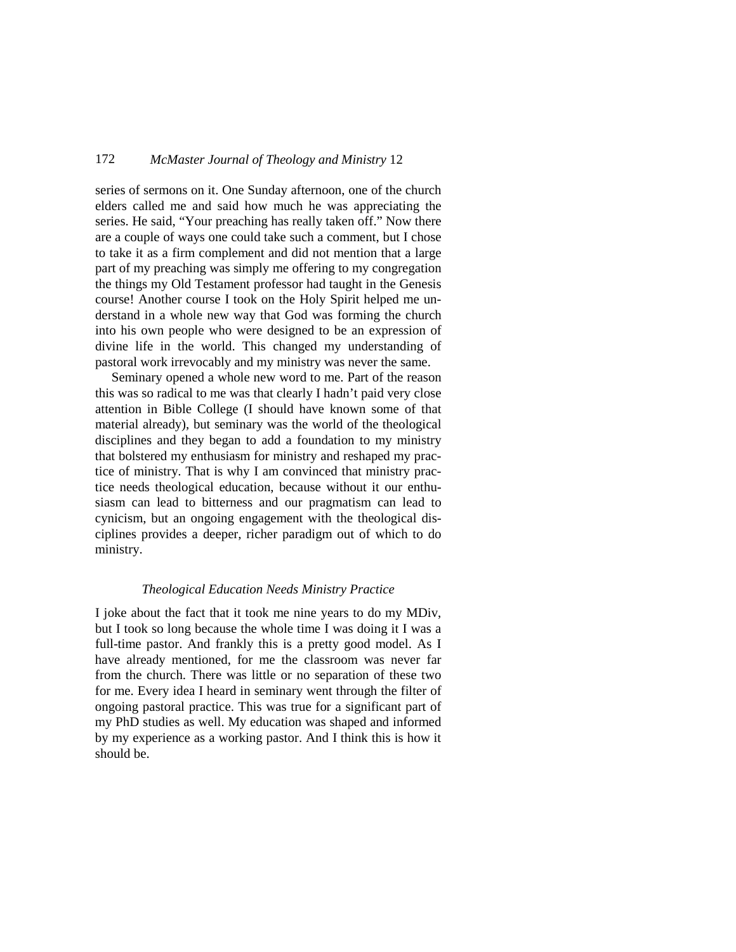series of sermons on it. One Sunday afternoon, one of the church elders called me and said how much he was appreciating the series. He said, "Your preaching has really taken off." Now there are a couple of ways one could take such a comment, but I chose to take it as a firm complement and did not mention that a large part of my preaching was simply me offering to my congregation the things my Old Testament professor had taught in the Genesis course! Another course I took on the Holy Spirit helped me understand in a whole new way that God was forming the church into his own people who were designed to be an expression of divine life in the world. This changed my understanding of pastoral work irrevocably and my ministry was never the same.

Seminary opened a whole new word to me. Part of the reason this was so radical to me was that clearly I hadn't paid very close attention in Bible College (I should have known some of that material already), but seminary was the world of the theological disciplines and they began to add a foundation to my ministry that bolstered my enthusiasm for ministry and reshaped my practice of ministry. That is why I am convinced that ministry practice needs theological education, because without it our enthusiasm can lead to bitterness and our pragmatism can lead to cynicism, but an ongoing engagement with the theological disciplines provides a deeper, richer paradigm out of which to do ministry.

### *Theological Education Needs Ministry Practice*

I joke about the fact that it took me nine years to do my MDiv, but I took so long because the whole time I was doing it I was a full-time pastor. And frankly this is a pretty good model. As I have already mentioned, for me the classroom was never far from the church. There was little or no separation of these two for me. Every idea I heard in seminary went through the filter of ongoing pastoral practice. This was true for a significant part of my PhD studies as well. My education was shaped and informed by my experience as a working pastor. And I think this is how it should be.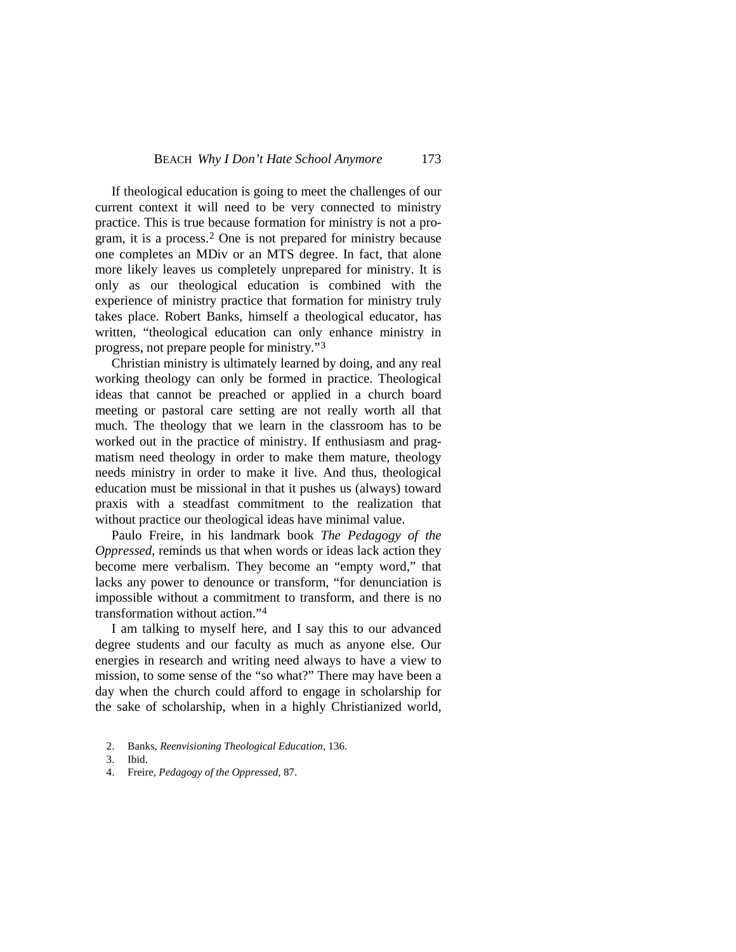If theological education is going to meet the challenges of our current context it will need to be very connected to ministry practice. This is true because formation for ministry is not a program, it is a process.[2](#page-6-0) One is not prepared for ministry because one completes an MDiv or an MTS degree. In fact, that alone more likely leaves us completely unprepared for ministry. It is only as our theological education is combined with the experience of ministry practice that formation for ministry truly takes place. Robert Banks, himself a theological educator, has written, "theological education can only enhance ministry in progress, not prepare people for ministry."[3](#page-6-1)

Christian ministry is ultimately learned by doing, and any real working theology can only be formed in practice. Theological ideas that cannot be preached or applied in a church board meeting or pastoral care setting are not really worth all that much. The theology that we learn in the classroom has to be worked out in the practice of ministry. If enthusiasm and pragmatism need theology in order to make them mature, theology needs ministry in order to make it live. And thus, theological education must be missional in that it pushes us (always) toward praxis with a steadfast commitment to the realization that without practice our theological ideas have minimal value.

Paulo Freire, in his landmark book *The Pedagogy of the Oppressed*, reminds us that when words or ideas lack action they become mere verbalism. They become an "empty word," that lacks any power to denounce or transform, "for denunciation is impossible without a commitment to transform, and there is no transformation without action."[4](#page-6-2)

I am talking to myself here, and I say this to our advanced degree students and our faculty as much as anyone else. Our energies in research and writing need always to have a view to mission, to some sense of the "so what?" There may have been a day when the church could afford to engage in scholarship for the sake of scholarship, when in a highly Christianized world,

- <span id="page-6-0"></span>2. Banks, *Reenvisioning Theological Education*, 136.
- <span id="page-6-1"></span>3. Ibid.
- <span id="page-6-2"></span>4. Freire, *Pedagogy of the Oppressed*, 87.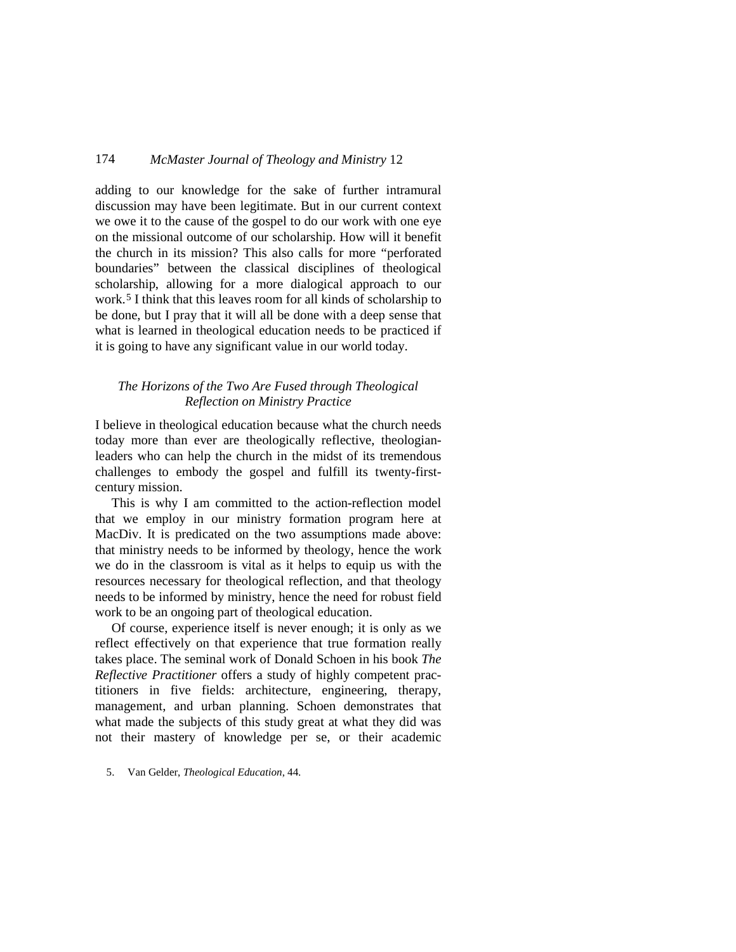adding to our knowledge for the sake of further intramural discussion may have been legitimate. But in our current context we owe it to the cause of the gospel to do our work with one eye on the missional outcome of our scholarship. How will it benefit the church in its mission? This also calls for more "perforated boundaries" between the classical disciplines of theological scholarship, allowing for a more dialogical approach to our work.[5](#page-7-0) I think that this leaves room for all kinds of scholarship to be done, but I pray that it will all be done with a deep sense that what is learned in theological education needs to be practiced if it is going to have any significant value in our world today.

# *The Horizons of the Two Are Fused through Theological Reflection on Ministry Practice*

I believe in theological education because what the church needs today more than ever are theologically reflective, theologianleaders who can help the church in the midst of its tremendous challenges to embody the gospel and fulfill its twenty-firstcentury mission.

This is why I am committed to the action-reflection model that we employ in our ministry formation program here at MacDiv. It is predicated on the two assumptions made above: that ministry needs to be informed by theology, hence the work we do in the classroom is vital as it helps to equip us with the resources necessary for theological reflection, and that theology needs to be informed by ministry, hence the need for robust field work to be an ongoing part of theological education.

Of course, experience itself is never enough; it is only as we reflect effectively on that experience that true formation really takes place. The seminal work of Donald Schoen in his book *The Reflective Practitioner* offers a study of highly competent practitioners in five fields: architecture, engineering, therapy, management, and urban planning. Schoen demonstrates that what made the subjects of this study great at what they did was not their mastery of knowledge per se, or their academic

<span id="page-7-0"></span>5. Van Gelder, *Theological Education*, 44.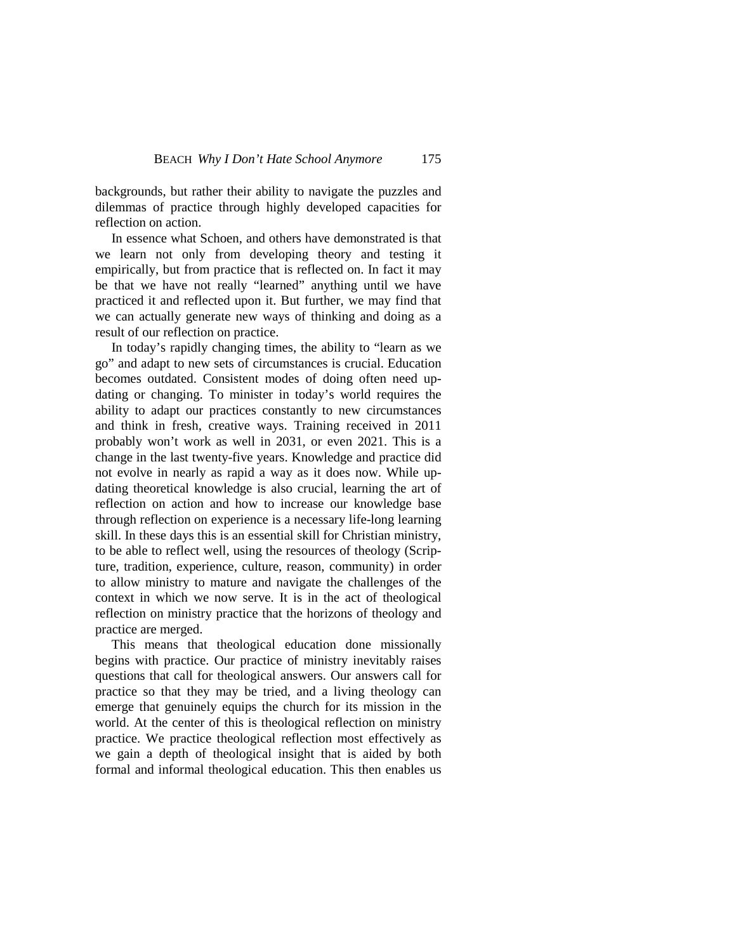backgrounds, but rather their ability to navigate the puzzles and dilemmas of practice through highly developed capacities for reflection on action.

In essence what Schoen, and others have demonstrated is that we learn not only from developing theory and testing it empirically, but from practice that is reflected on. In fact it may be that we have not really "learned" anything until we have practiced it and reflected upon it. But further, we may find that we can actually generate new ways of thinking and doing as a result of our reflection on practice.

In today's rapidly changing times, the ability to "learn as we go" and adapt to new sets of circumstances is crucial. Education becomes outdated. Consistent modes of doing often need updating or changing. To minister in today's world requires the ability to adapt our practices constantly to new circumstances and think in fresh, creative ways. Training received in 2011 probably won't work as well in 2031, or even 2021. This is a change in the last twenty-five years. Knowledge and practice did not evolve in nearly as rapid a way as it does now. While updating theoretical knowledge is also crucial, learning the art of reflection on action and how to increase our knowledge base through reflection on experience is a necessary life-long learning skill. In these days this is an essential skill for Christian ministry, to be able to reflect well, using the resources of theology (Scripture, tradition, experience, culture, reason, community) in order to allow ministry to mature and navigate the challenges of the context in which we now serve. It is in the act of theological reflection on ministry practice that the horizons of theology and practice are merged.

This means that theological education done missionally begins with practice. Our practice of ministry inevitably raises questions that call for theological answers. Our answers call for practice so that they may be tried, and a living theology can emerge that genuinely equips the church for its mission in the world. At the center of this is theological reflection on ministry practice. We practice theological reflection most effectively as we gain a depth of theological insight that is aided by both formal and informal theological education. This then enables us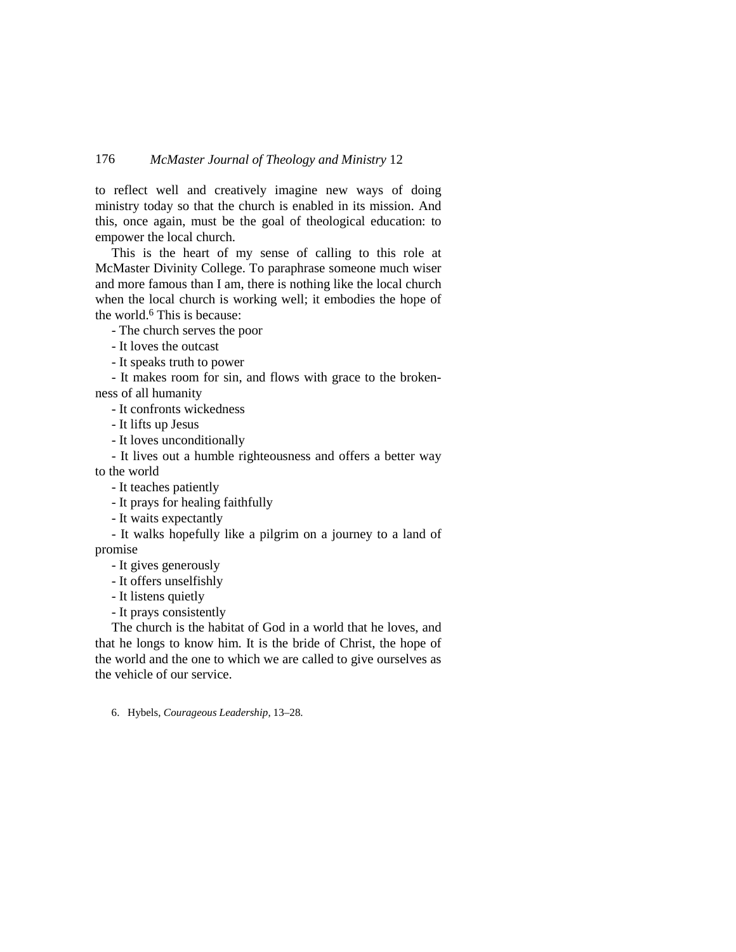to reflect well and creatively imagine new ways of doing ministry today so that the church is enabled in its mission. And this, once again, must be the goal of theological education: to empower the local church.

This is the heart of my sense of calling to this role at McMaster Divinity College. To paraphrase someone much wiser and more famous than I am, there is nothing like the local church when the local church is working well; it embodies the hope of the world.6 This is because:

- The church serves the poor

- It loves the outcast
- It speaks truth to power

- It makes room for sin, and flows with grace to the broken-

ness of all humanity

- It confronts wickedness
- It lifts up Jesus
- It loves unconditionally

- It lives out a humble righteousness and offers a better way

to the world

- It teaches patiently
- It prays for healing faithfully
- It waits expectantly

- It walks hopefully like a pilgrim on a journey to a land of promise

- It gives generously
- It offers unselfishly
- It listens quietly
- It prays consistently

The church is the habitat of God in a world that he loves, and that he longs to know him. It is the bride of Christ, the hope of the world and the one to which we are called to give ourselves as the vehicle of our service.

6. Hybels, *Courageous Leadership*, 13–28.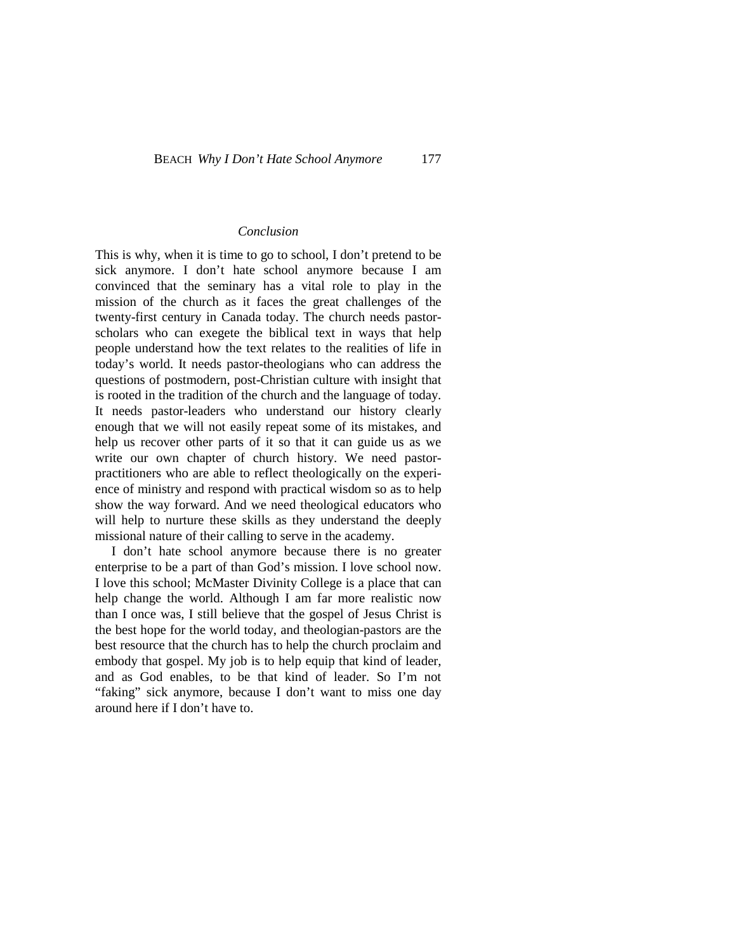#### *Conclusion*

This is why, when it is time to go to school, I don't pretend to be sick anymore. I don't hate school anymore because I am convinced that the seminary has a vital role to play in the mission of the church as it faces the great challenges of the twenty-first century in Canada today. The church needs pastorscholars who can exegete the biblical text in ways that help people understand how the text relates to the realities of life in today's world. It needs pastor-theologians who can address the questions of postmodern, post-Christian culture with insight that is rooted in the tradition of the church and the language of today. It needs pastor-leaders who understand our history clearly enough that we will not easily repeat some of its mistakes, and help us recover other parts of it so that it can guide us as we write our own chapter of church history. We need pastorpractitioners who are able to reflect theologically on the experience of ministry and respond with practical wisdom so as to help show the way forward. And we need theological educators who will help to nurture these skills as they understand the deeply missional nature of their calling to serve in the academy.

I don't hate school anymore because there is no greater enterprise to be a part of than God's mission. I love school now. I love this school; McMaster Divinity College is a place that can help change the world. Although I am far more realistic now than I once was, I still believe that the gospel of Jesus Christ is the best hope for the world today, and theologian-pastors are the best resource that the church has to help the church proclaim and embody that gospel. My job is to help equip that kind of leader, and as God enables, to be that kind of leader. So I'm not "faking" sick anymore, because I don't want to miss one day around here if I don't have to.